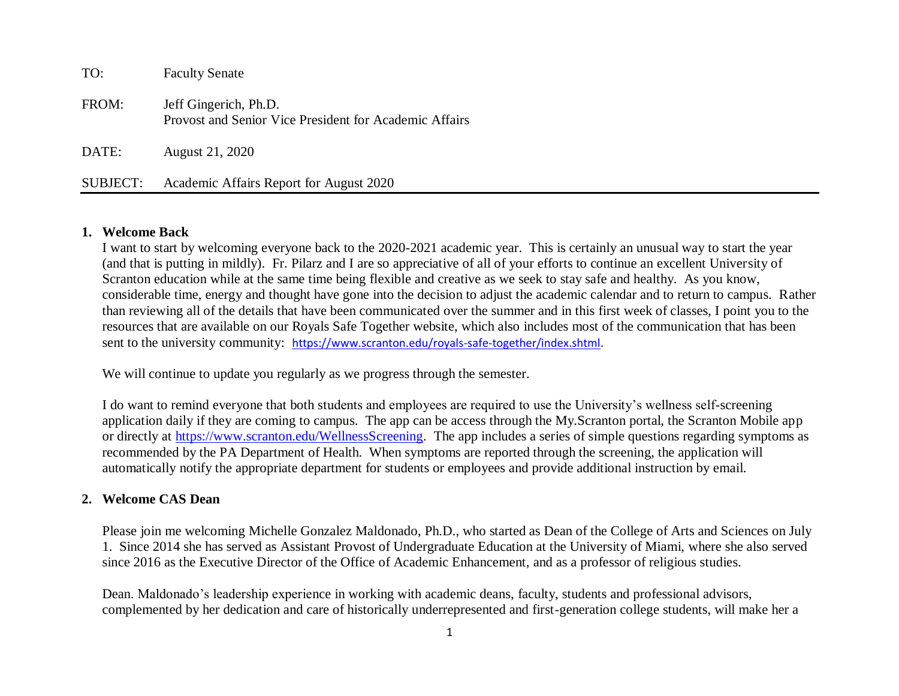| TO:      | <b>Faculty Senate</b>                                                           |
|----------|---------------------------------------------------------------------------------|
| FROM:    | Jeff Gingerich, Ph.D.<br>Provost and Senior Vice President for Academic Affairs |
| DATE:    | August 21, 2020                                                                 |
| SUBJECT: | Academic Affairs Report for August 2020                                         |

#### **1. Welcome Back**

I want to start by welcoming everyone back to the 2020-2021 academic year. This is certainly an unusual way to start the year (and that is putting in mildly). Fr. Pilarz and I are so appreciative of all of your efforts to continue an excellent University of Scranton education while at the same time being flexible and creative as we seek to stay safe and healthy. As you know, considerable time, energy and thought have gone into the decision to adjust the academic calendar and to return to campus. Rather than reviewing all of the details that have been communicated over the summer and in this first week of classes, I point you to the resources that are available on our Royals Safe Together website, which also includes most of the communication that has been sent to the university community: [https://www.scranton.edu/royals-safe-together/index.shtml.](https://www.scranton.edu/royals-safe-together/index.shtml)

We will continue to update you regularly as we progress through the semester.

I do want to remind everyone that both students and employees are required to use the University's wellness self-screening application daily if they are coming to campus. The app can be access through the My.Scranton portal, the Scranton Mobile app or directly at [https://www.scranton.edu/WellnessScreening.](https://www.scranton.edu/WellnessScreening) The app includes a series of simple questions regarding symptoms as recommended by the PA Department of Health. When symptoms are reported through the screening, the application will automatically notify the appropriate department for students or employees and provide additional instruction by email.

### **2. Welcome CAS Dean**

Please join me welcoming Michelle Gonzalez Maldonado, Ph.D., who started as Dean of the College of Arts and Sciences on July 1. Since 2014 she has served as Assistant Provost of Undergraduate Education at the University of Miami, where she also served since 2016 as the Executive Director of the Office of Academic Enhancement, and as a professor of religious studies.

Dean. Maldonado's leadership experience in working with academic deans, faculty, students and professional advisors, complemented by her dedication and care of historically underrepresented and first-generation college students, will make her a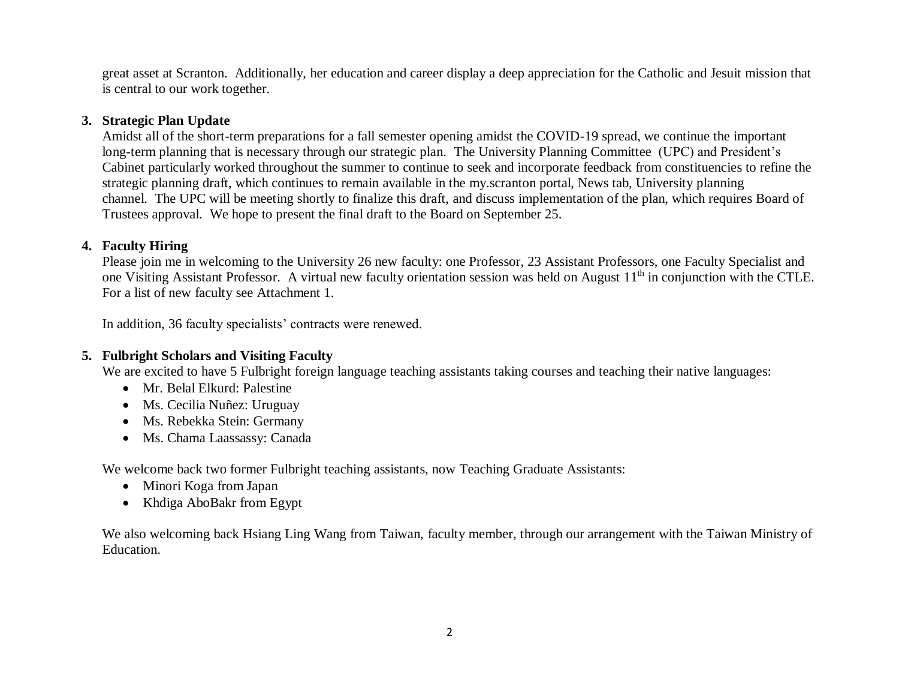great asset at Scranton. Additionally, her education and career display a deep appreciation for the Catholic and Jesuit mission that is central to our work together.

#### **3. Strategic Plan Update**

Amidst all of the short-term preparations for a fall semester opening amidst the COVID-19 spread, we continue the important long-term planning that is necessary through our strategic plan. The University Planning Committee (UPC) and President's Cabinet particularly worked throughout the summer to continue to seek and incorporate feedback from constituencies to refine the strategic planning draft, which continues to remain available in the my.scranton portal, News tab, University planning channel. The UPC will be meeting shortly to finalize this draft, and discuss implementation of the plan, which requires Board of Trustees approval. We hope to present the final draft to the Board on September 25.

## **4. Faculty Hiring**

Please join me in welcoming to the University 26 new faculty: one Professor, 23 Assistant Professors, one Faculty Specialist and one Visiting Assistant Professor. A virtual new faculty orientation session was held on August  $11<sup>th</sup>$  in conjunction with the CTLE. For a list of new faculty see Attachment 1.

In addition, 36 faculty specialists' contracts were renewed.

# **5. Fulbright Scholars and Visiting Faculty**

We are excited to have 5 Fulbright foreign language teaching assistants taking courses and teaching their native languages:

- Mr. Belal Elkurd: Palestine
- Ms. Cecilia Nuñez: Uruguay
- Ms. Rebekka Stein: Germany
- Ms. Chama Laassassy: Canada

We welcome back two former Fulbright teaching assistants, now Teaching Graduate Assistants:

- Minori Koga from Japan
- Khdiga AboBakr from Egypt

We also welcoming back Hsiang Ling Wang from Taiwan, faculty member, through our arrangement with the Taiwan Ministry of Education.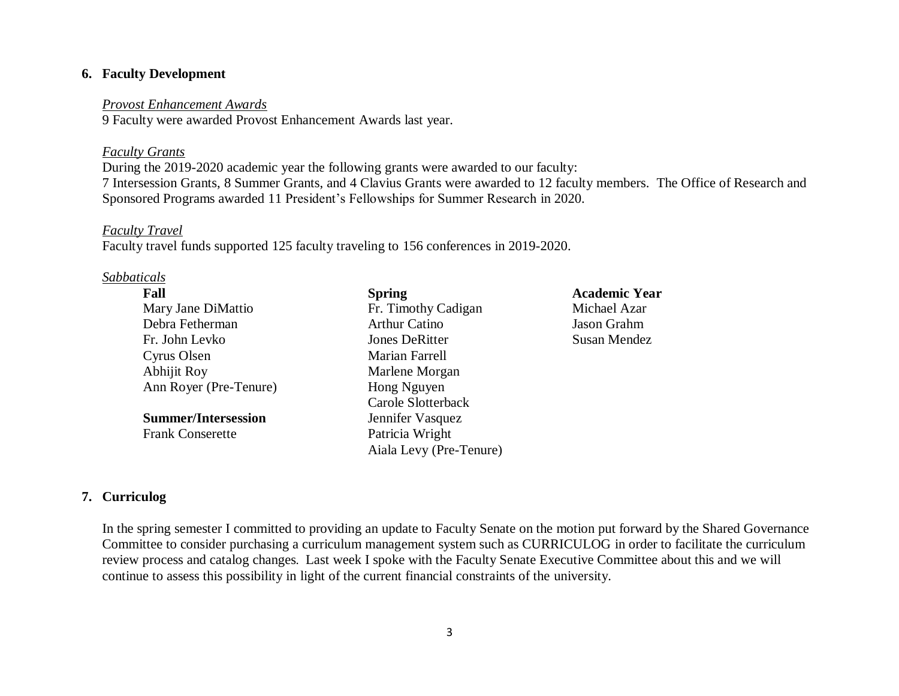## **6. Faculty Development**

#### *Provost Enhancement Awards*

9 Faculty were awarded Provost Enhancement Awards last year.

#### *Faculty Grants*

During the 2019-2020 academic year the following grants were awarded to our faculty: 7 Intersession Grants, 8 Summer Grants, and 4 Clavius Grants were awarded to 12 faculty members. The Office of Research and Sponsored Programs awarded 11 President's Fellowships for Summer Research in 2020.

#### *Faculty Travel*

Faculty travel funds supported 125 faculty traveling to 156 conferences in 2019-2020.

#### *Sabbaticals*

| Fall                       | <b>Spring</b>           | <b>Academic Year</b> |
|----------------------------|-------------------------|----------------------|
| Mary Jane DiMattio         | Fr. Timothy Cadigan     | Michael Azar         |
| Debra Fetherman            | <b>Arthur Catino</b>    | Jason Grahm          |
| Fr. John Levko             | <b>Jones DeRitter</b>   | Susan Mendez         |
| Cyrus Olsen                | Marian Farrell          |                      |
| Abhijit Roy                | Marlene Morgan          |                      |
| Ann Royer (Pre-Tenure)     | Hong Nguyen             |                      |
|                            | Carole Slotterback      |                      |
| <b>Summer/Intersession</b> | Jennifer Vasquez        |                      |
| <b>Frank Conserette</b>    | Patricia Wright         |                      |
|                            | Aiala Levy (Pre-Tenure) |                      |

# **7. Curriculog**

In the spring semester I committed to providing an update to Faculty Senate on the motion put forward by the Shared Governance Committee to consider purchasing a curriculum management system such as CURRICULOG in order to facilitate the curriculum review process and catalog changes*.* Last week I spoke with the Faculty Senate Executive Committee about this and we will continue to assess this possibility in light of the current financial constraints of the university.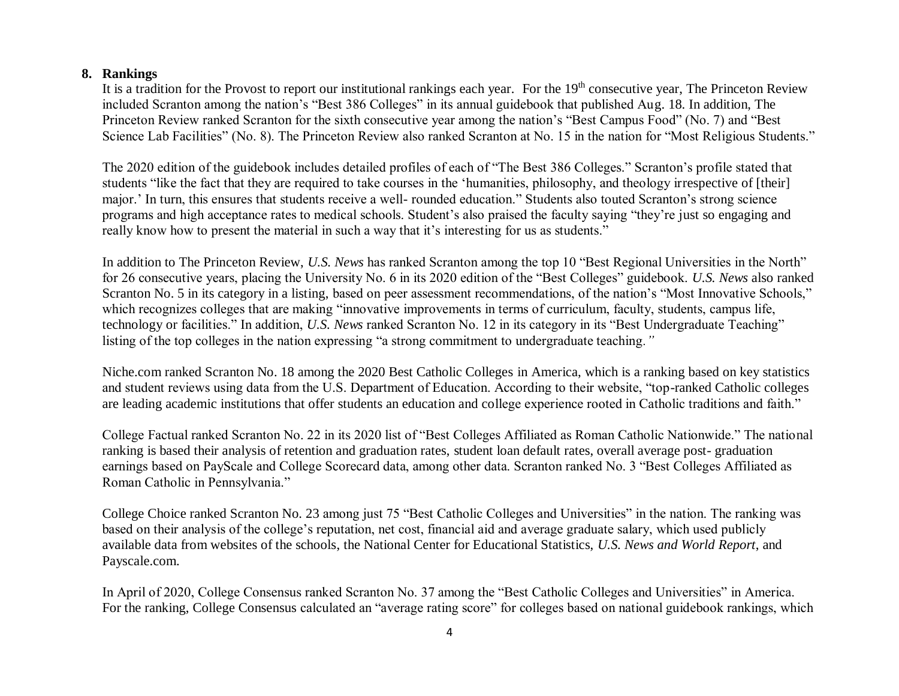# **8. Rankings**

It is a tradition for the Provost to report our institutional rankings each year. For the 19<sup>th</sup> consecutive year, The Princeton Review included Scranton among the nation's "Best 386 Colleges" in its annual guidebook that published Aug. 18. In addition, The Princeton Review ranked Scranton for the sixth consecutive year among the nation's "Best Campus Food" (No. 7) and "Best Science Lab Facilities" (No. 8). The Princeton Review also ranked Scranton at No. 15 in the nation for "Most Religious Students."

The 2020 edition of the guidebook includes detailed profiles of each of "The Best 386 Colleges." Scranton's profile stated that students "like the fact that they are required to take courses in the 'humanities, philosophy, and theology irrespective of [their] major.' In turn, this ensures that students receive a well- rounded education." Students also touted Scranton's strong science programs and high acceptance rates to medical schools. Student's also praised the faculty saying "they're just so engaging and really know how to present the material in such a way that it's interesting for us as students."

In addition to The Princeton Review, *U.S. News* has ranked Scranton among the top 10 "Best Regional Universities in the North" for 26 consecutive years, placing the University No. 6 in its 2020 edition of the "Best Colleges" guidebook. *U.S. News* also ranked Scranton No. 5 in its category in a listing, based on peer assessment recommendations, of the nation's "Most Innovative Schools," which recognizes colleges that are making "innovative improvements in terms of curriculum, faculty, students, campus life, technology or facilities." In addition, *U.S. News* ranked Scranton No. 12 in its category in its "Best Undergraduate Teaching" listing of the top colleges in the nation expressing "a strong commitment to undergraduate teaching*."* 

Niche.com ranked Scranton No. 18 among the 2020 Best Catholic Colleges in America, which is a ranking based on key statistics and student reviews using data from the U.S. Department of Education. According to their website, "top-ranked Catholic colleges are leading academic institutions that offer students an education and college experience rooted in Catholic traditions and faith."

College Factual ranked Scranton No. 22 in its 2020 list of "Best Colleges Affiliated as Roman Catholic Nationwide." The national ranking is based their analysis of retention and graduation rates, student loan default rates, overall average post- graduation earnings based on PayScale and College Scorecard data, among other data. Scranton ranked No. 3 "Best Colleges Affiliated as Roman Catholic in Pennsylvania."

College Choice ranked Scranton No. 23 among just 75 "Best Catholic Colleges and Universities" in the nation. The ranking was based on their analysis of the college's reputation, net cost, financial aid and average graduate salary, which used publicly available data from websites of the schools, the National Center for Educational Statistics, *U.S. News and World Report*, and Payscale.com.

In April of 2020, College Consensus ranked Scranton No. 37 among the "Best Catholic Colleges and Universities" in America. For the ranking, College Consensus calculated an "average rating score" for colleges based on national guidebook rankings, which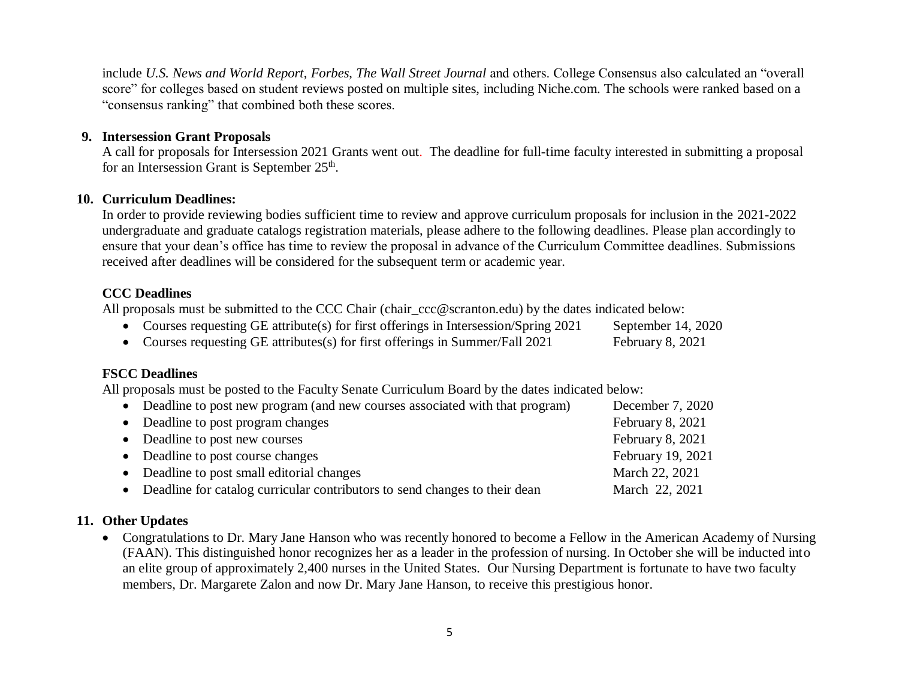include *U.S. News and World Report*, *Forbes*, *The Wall Street Journal* and others. College Consensus also calculated an "overall score" for colleges based on student reviews posted on multiple sites, including Niche.com. The schools were ranked based on a "consensus ranking" that combined both these scores.

## **9. Intersession Grant Proposals**

A call for proposals for Intersession 2021 Grants went out. The deadline for full-time faculty interested in submitting a proposal for an Intersession Grant is September 25<sup>th</sup>.

#### **10. Curriculum Deadlines:**

In order to provide reviewing bodies sufficient time to review and approve curriculum proposals for inclusion in the 2021-2022 undergraduate and graduate catalogs registration materials, please adhere to the following deadlines. Please plan accordingly to ensure that your dean's office has time to review the proposal in advance of the Curriculum Committee deadlines. Submissions received after deadlines will be considered for the subsequent term or academic year.

## **CCC Deadlines**

All proposals must be submitted to the CCC Chair (chair\_ccc@scranton.edu) by the dates indicated below:

- Courses requesting GE attribute(s) for first offerings in Intersession/Spring 2021 September 14, 2020
- Courses requesting GE attributes(s) for first offerings in Summer/Fall 2021 February 8, 2021

#### **FSCC Deadlines**

All proposals must be posted to the Faculty Senate Curriculum Board by the dates indicated below:

| • Deadline to post new program (and new courses associated with that program) | December 7, 2020  |
|-------------------------------------------------------------------------------|-------------------|
| • Deadline to post program changes                                            | February 8, 2021  |
| • Deadline to post new courses                                                | February 8, 2021  |
| • Deadline to post course changes                                             | February 19, 2021 |
| • Deadline to post small editorial changes                                    | March 22, 2021    |
| • Deadline for catalog curricular contributors to send changes to their dean  | March 22, 2021    |

### **11. Other Updates**

 Congratulations to Dr. Mary Jane Hanson who was recently honored to become a Fellow in the American Academy of Nursing (FAAN). This distinguished honor recognizes her as a leader in the profession of nursing. In October she will be inducted into an elite group of approximately 2,400 nurses in the United States. Our Nursing Department is fortunate to have two faculty members, Dr. Margarete Zalon and now Dr. Mary Jane Hanson, to receive this prestigious honor.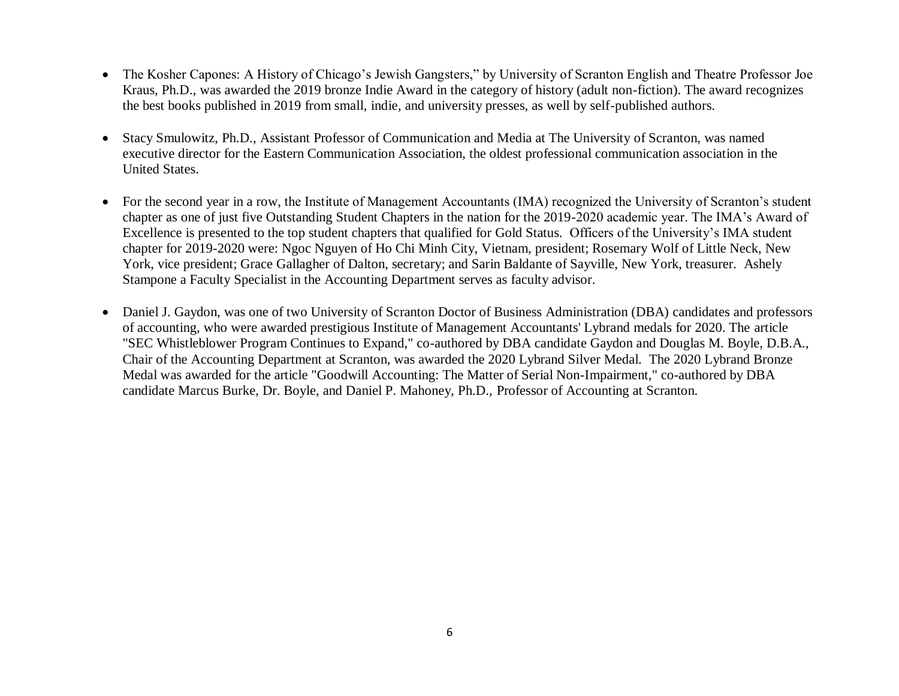- The Kosher Capones: A History of Chicago's Jewish Gangsters," by University of Scranton English and Theatre Professor Joe Kraus, Ph.D., was awarded the 2019 bronze Indie Award in the category of history (adult non-fiction). The award recognizes the best books published in 2019 from small, indie, and university presses, as well by self-published authors.
- Stacy Smulowitz, Ph.D., Assistant Professor of Communication and Media at The University of Scranton, was named executive director for the Eastern Communication Association, the oldest professional communication association in the United States.
- For the second year in a row, the Institute of Management Accountants (IMA) recognized the University of Scranton's student chapter as one of just five Outstanding Student Chapters in the nation for the 2019-2020 academic year. The IMA's Award of Excellence is presented to the top student chapters that qualified for Gold Status. Officers of the University's IMA student chapter for 2019-2020 were: Ngoc Nguyen of Ho Chi Minh City, Vietnam, president; Rosemary Wolf of Little Neck, New York, vice president; Grace Gallagher of Dalton, secretary; and Sarin Baldante of Sayville, New York, treasurer. Ashely Stampone a Faculty Specialist in the Accounting Department serves as faculty advisor.
- Daniel J. Gaydon, was one of two University of Scranton Doctor of Business Administration (DBA) candidates and professors of accounting, who were awarded prestigious Institute of Management Accountants' Lybrand medals for 2020. The article "SEC Whistleblower Program Continues to Expand," co-authored by DBA candidate Gaydon and Douglas M. Boyle, D.B.A., Chair of the Accounting Department at Scranton, was awarded the 2020 Lybrand Silver Medal. The 2020 Lybrand Bronze Medal was awarded for the article "Goodwill Accounting: The Matter of Serial Non-Impairment," co-authored by DBA candidate Marcus Burke, Dr. Boyle, and Daniel P. Mahoney, Ph.D., Professor of Accounting at Scranton.